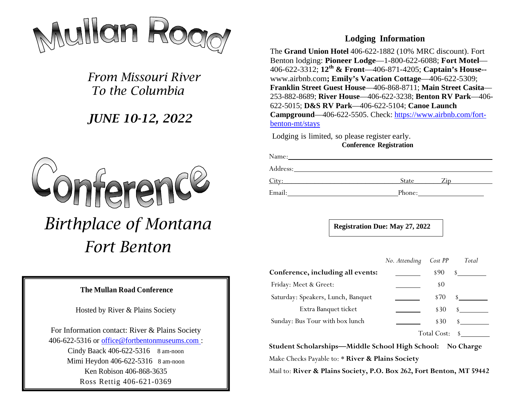

*From Missouri River To the Columbia*

# *JUNE 10-12, 2022*



#### **The Mullan Road Conference**

Hosted by River & Plains Society

For Information contact: River & Plains Society 406-622-5316 or office@fortbentonmuseums.com : Cindy Baack 406-622-5316 8 am-noon Mimi Heydon 406-622-5316 8 am-noon Ken Robison 406-868-3635 Ross Rettig 406-621-0369

### **Lodging Information**

The **Grand Union Hotel** 406-622-1882 (10% MRC discount). Fort Benton lodging: **Pioneer Lodge**—1-800-622-6088; **Fort Motel**— 406-622-3312; **12th & Front**—406-871-4205; **Captain's House-** www.airbnb.com**; Emily's Vacation Cottage**—406-622-5309; **Franklin Street Guest House**—406-868-8711; **Main Street Casita**— 253-882-8689; **River House**—406-622-3238; **Benton RV Park**—406- 622-5015; **D&S RV Park**—406-622-5104; **Canoe Launch Campground**—406-622-5505. Check: https://www.airbnb.com/fortbenton-mt/stays

Lodging is limited, so please register early. **Conference Registration**

| Name:    |        |     |  |
|----------|--------|-----|--|
| Address: |        |     |  |
| City:    | State  | Zip |  |
| Email:   | Phone: |     |  |

**Registration Due: May 27, 2022**

|                                    | No. Attending | Cost PP     | Total |
|------------------------------------|---------------|-------------|-------|
| Conference, including all events:  |               | \$90        |       |
| Friday: Meet & Greet:              |               | \$0         |       |
| Saturday: Speakers, Lunch, Banquet |               | \$70        |       |
| Extra Banquet ticket               |               | \$30        |       |
| Sunday: Bus Tour with box lunch    |               | \$30        |       |
|                                    |               | Total Cost: |       |

**Student Scholarships—Middle School High School: No Charge** Make Checks Payable to: \* **River & Plains Society**

Mail to: **River & Plains Society, P.O. Box 262, Fort Benton, MT 59442**